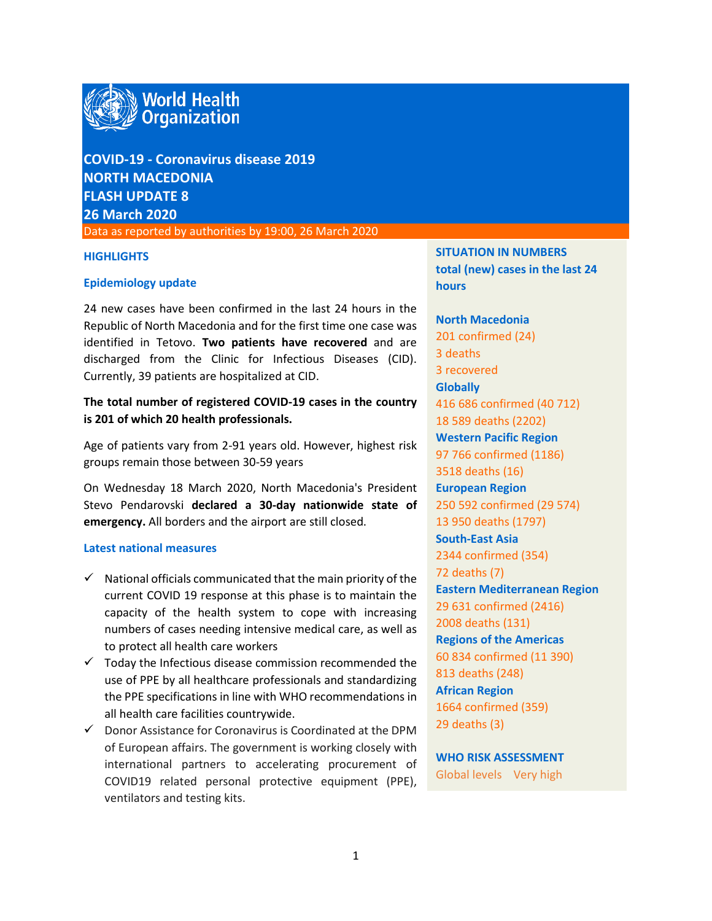

**COVID-19 - Coronavirus disease 2019 NORTH MACEDONIA FLASH UPDATE 8 26 March 2020**

Data as reported by authorities by 19:00, 26 March 2020

#### **HIGHLIGHTS**

#### **Epidemiology update**

24 new cases have been confirmed in the last 24 hours in the Republic of North Macedonia and for the first time one case was identified in Tetovo. **Two patients have recovered** and are discharged from the Clinic for Infectious Diseases (CID). Currently, 39 patients are hospitalized at CID.

# **The total number of registered COVID-19 cases in the country is 201 of which 20 health professionals.**

Age of patients vary from 2-91 years old. However, highest risk groups remain those between 30-59 years

On Wednesday 18 March 2020, North Macedonia's President Stevo Pendarovski **declared a 30-day nationwide state of emergency.** All borders and the airport are still closed.

#### **Latest national measures**

- $\checkmark$  National officials communicated that the main priority of the current COVID 19 response at this phase is to maintain the capacity of the health system to cope with increasing numbers of cases needing intensive medical care, as well as to protect all health care workers
- $\checkmark$  Today the Infectious disease commission recommended the use of PPE by all healthcare professionals and standardizing the PPE specifications in line with WHO recommendations in all health care facilities countrywide.
- $\checkmark$  Donor Assistance for Coronavirus is Coordinated at the DPM of European affairs. The government is working closely with international partners to accelerating procurement of COVID19 related personal protective equipment (PPE), ventilators and testing kits.

**SITUATION IN NUMBERS total (new) cases in the last 24 hours**

**North Macedonia** 201 confirmed (24) 3 deaths 3 recovered **Globally**  416 686 confirmed (40 712) 18 589 deaths (2202) **Western Pacific Region** 97 766 confirmed (1186) 3518 deaths (16) **European Region** 250 592 confirmed (29 574) 13 950 deaths (1797) **South-East Asia** 2344 confirmed (354) 72 deaths (7) **Eastern Mediterranean Region** 29 631 confirmed (2416) 2008 deaths (131) **Regions of the Americas** 60 834 confirmed (11 390) 813 deaths (248) **African Region** 1664 confirmed (359) 29 deaths (3)

**WHO RISK ASSESSMENT**  Global levels Very high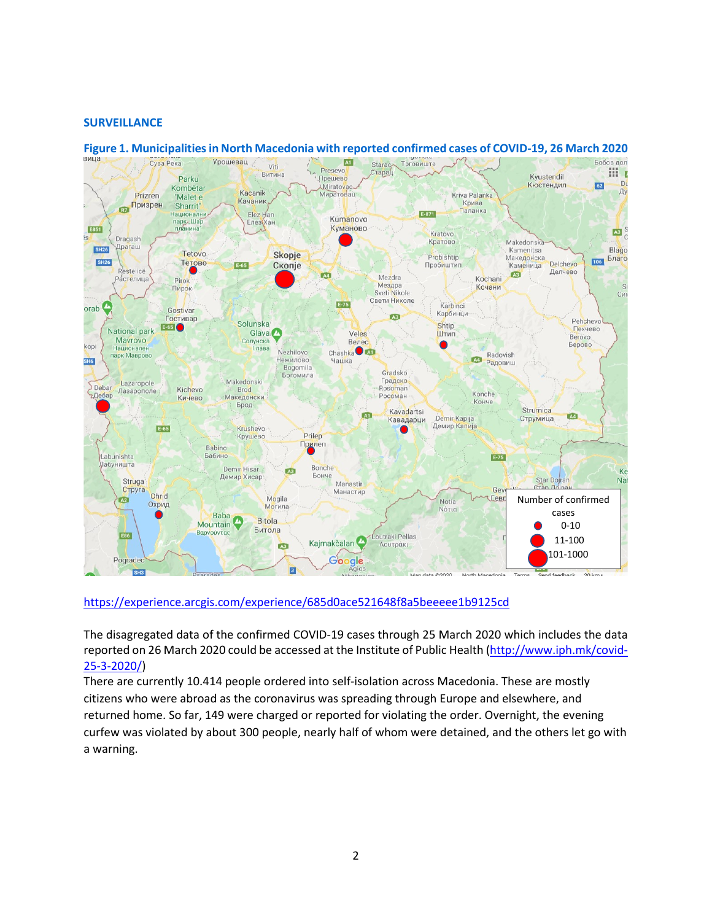## **SURVEILLANCE**



## **Figure 1. Municipalitiesin North Macedonia with reported confirmed cases of COVID-19, 26 March 2020**

#### <https://experience.arcgis.com/experience/685d0ace521648f8a5beeeee1b9125cd>

The disagregated data of the confirmed COVID-19 cases through 25 March 2020 which includes the data reported on 26 March 2020 could be accessed at the Institute of Public Health [\(http://www.iph.mk/covid-](http://www.iph.mk/covid-25-3-2020/)[25-3-2020/\)](http://www.iph.mk/covid-25-3-2020/)

There are currently 10.414 people ordered into self-isolation across Macedonia. These are mostly citizens who were abroad as the coronavirus was spreading through Europe and elsewhere, and returned home. So far, 149 were charged or reported for violating the order. Overnight, the evening curfew was violated by about 300 people, nearly half of whom were detained, and the others let go with a warning.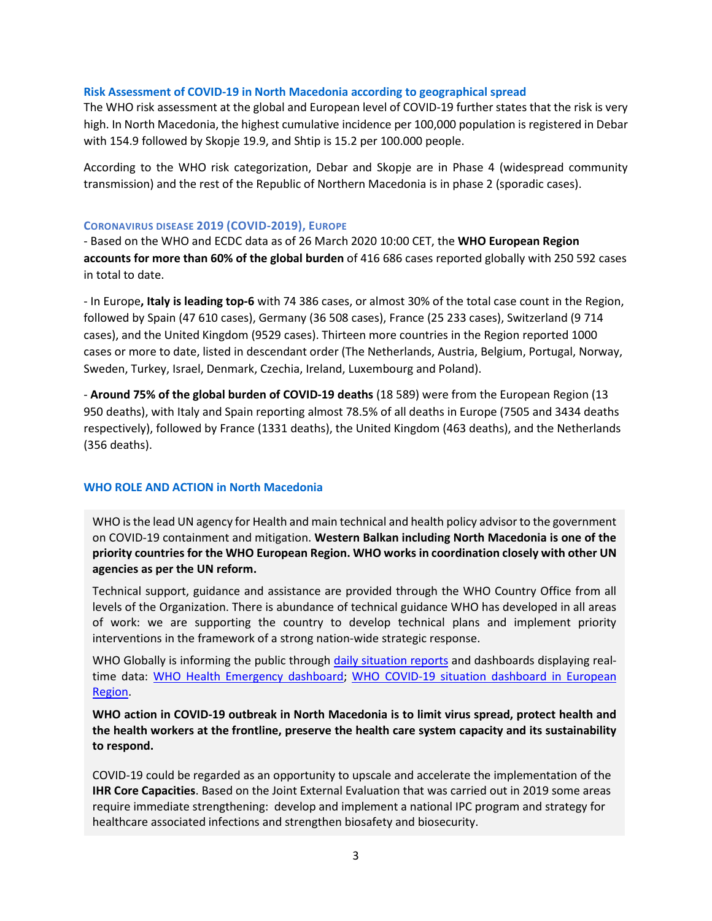## **Risk Assessment of COVID-19 in North Macedonia according to geographical spread**

The WHO risk assessment at the global and European level of COVID-19 further states that the risk is very high. In North Macedonia, the highest cumulative incidence per 100,000 population is registered in Debar with 154.9 followed by Skopje 19.9, and Shtip is 15.2 per 100.000 people.

According to the WHO risk categorization, Debar and Skopje are in Phase 4 (widespread community transmission) and the rest of the Republic of Northern Macedonia is in phase 2 (sporadic cases).

## **CORONAVIRUS DISEASE 2019 (COVID-2019), EUROPE**

- Based on the WHO and ECDC data as of 26 March 2020 10:00 CET, the **WHO European Region accounts for more than 60% of the global burden** of 416 686 cases reported globally with 250 592 cases in total to date.

- In Europe**, Italy is leading top-6** with 74 386 cases, or almost 30% of the total case count in the Region, followed by Spain (47 610 cases), Germany (36 508 cases), France (25 233 cases), Switzerland (9 714 cases), and the United Kingdom (9529 cases). Thirteen more countries in the Region reported 1000 cases or more to date, listed in descendant order (The Netherlands, Austria, Belgium, Portugal, Norway, Sweden, Turkey, Israel, Denmark, Czechia, Ireland, Luxembourg and Poland).

- **Around 75% of the global burden of COVID-19 deaths** (18 589) were from the European Region (13 950 deaths), with Italy and Spain reporting almost 78.5% of all deaths in Europe (7505 and 3434 deaths respectively), followed by France (1331 deaths), the United Kingdom (463 deaths), and the Netherlands (356 deaths).

# **WHO ROLE AND ACTION in North Macedonia**

WHO is the lead UN agency for Health and main technical and health policy advisor to the government on COVID-19 containment and mitigation. **Western Balkan including North Macedonia is one of the priority countries for the WHO European Region. WHO works in coordination closely with other UN agencies as per the UN reform.** 

Technical support, guidance and assistance are provided through the WHO Country Office from all levels of the Organization. There is abundance of technical guidance WHO has developed in all areas of work: we are supporting the country to develop technical plans and implement priority interventions in the framework of a strong nation-wide strategic response.

WHO Globally is informing the public through [daily situation reports](https://www.who.int/emergencies/diseases/novel-coronavirus-2019/situation-reports/) and dashboards displaying realtime data: [WHO Health Emergency dashboard;](https://extranet.who.int/publicemergency) [WHO COVID-19 situation dashboard in European](http://who.maps.arcgis.com/apps/opsdashboard/index.html#/ead3c6475654481ca51c248d52ab9c61)  [Region.](http://who.maps.arcgis.com/apps/opsdashboard/index.html#/ead3c6475654481ca51c248d52ab9c61)

**WHO action in COVID-19 outbreak in North Macedonia is to limit virus spread, protect health and the health workers at the frontline, preserve the health care system capacity and its sustainability to respond.** 

COVID-19 could be regarded as an opportunity to upscale and accelerate the implementation of the **IHR Core Capacities**. Based on the Joint External Evaluation that was carried out in 2019 some areas require immediate strengthening: develop and implement a national IPC program and strategy for healthcare associated infections and strengthen biosafety and biosecurity.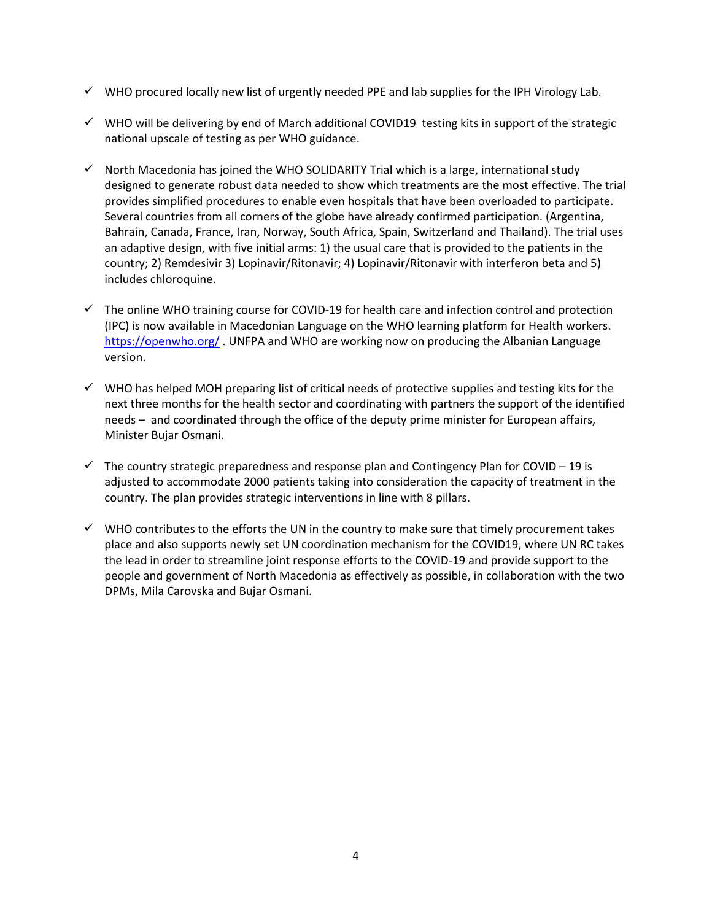- $\checkmark$  WHO procured locally new list of urgently needed PPE and lab supplies for the IPH Virology Lab.
- $\checkmark$  WHO will be delivering by end of March additional COVID19 testing kits in support of the strategic national upscale of testing as per WHO guidance.
- $\checkmark$  North Macedonia has joined the WHO SOLIDARITY Trial which is a large, international study designed to generate robust data needed to show which treatments are the most effective. The trial provides simplified procedures to enable even hospitals that have been overloaded to participate. Several countries from all corners of the globe have already confirmed participation. (Argentina, Bahrain, Canada, France, Iran, Norway, South Africa, Spain, Switzerland and Thailand). The trial uses an adaptive design, with five initial arms: 1) the usual care that is provided to the patients in the country; 2) Remdesivir 3) Lopinavir/Ritonavir; 4) Lopinavir/Ritonavir with interferon beta and 5) includes chloroquine.
- $\checkmark$  The online WHO training course for COVID-19 for health care and infection control and protection (IPC) is now available in Macedonian Language on the WHO learning platform for Health workers. <https://openwho.org/> . UNFPA and WHO are working now on producing the Albanian Language version.
- $\checkmark$  WHO has helped MOH preparing list of critical needs of protective supplies and testing kits for the next three months for the health sector and coordinating with partners the support of the identified needs – and coordinated through the office of the deputy prime minister for European affairs, Minister Bujar Osmani.
- $\checkmark$  The country strategic preparedness and response plan and Contingency Plan for COVID 19 is adjusted to accommodate 2000 patients taking into consideration the capacity of treatment in the country. The plan provides strategic interventions in line with 8 pillars.
- $\checkmark$  WHO contributes to the efforts the UN in the country to make sure that timely procurement takes place and also supports newly set UN coordination mechanism for the COVID19, where UN RC takes the lead in order to streamline joint response efforts to the COVID-19 and provide support to the people and government of North Macedonia as effectively as possible, in collaboration with the two DPMs, Mila Carovska and Bujar Osmani.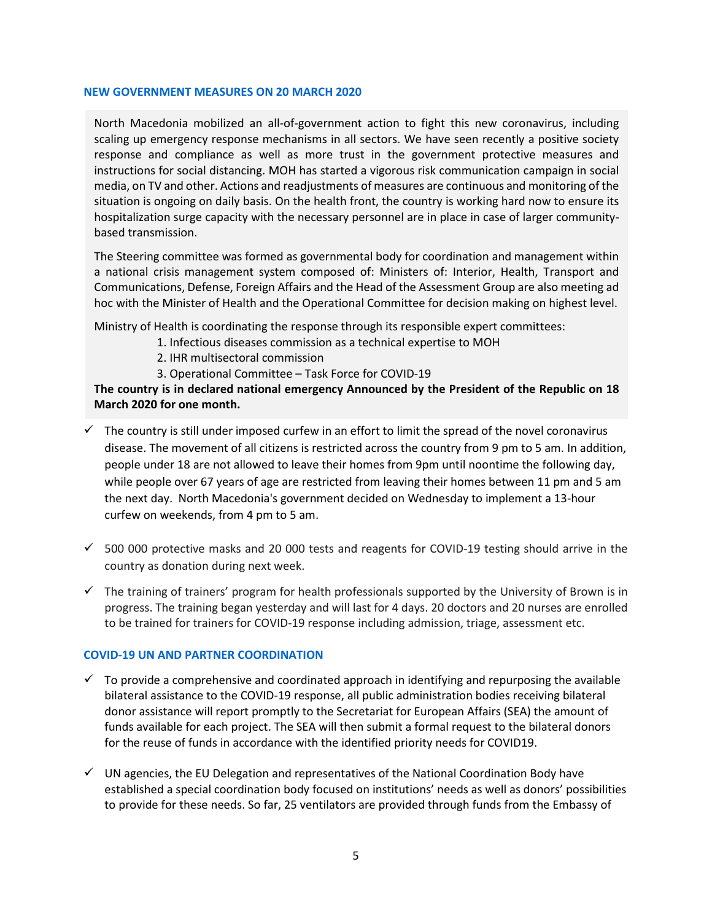#### **NEW GOVERNMENT MEASURES ON 20 MARCH 2020**

North Macedonia mobilized an all-of-government action to fight this new coronavirus, including scaling up emergency response mechanisms in all sectors. We have seen recently a positive society response and compliance as well as more trust in the government protective measures and instructions for social distancing. MOH has started a vigorous risk communication campaign in social media, on TV and other. Actions and readjustments of measures are continuous and monitoring of the situation is ongoing on daily basis. On the health front, the country is working hard now to ensure its hospitalization surge capacity with the necessary personnel are in place in case of larger communitybased transmission.

The Steering committee was formed as governmental body for coordination and management within a national crisis management system composed of: Ministers of: Interior, Health, Transport and Communications, Defense, Foreign Affairs and the Head of the Assessment Group are also meeting ad hoc with the Minister of Health and the Operational Committee for decision making on highest level.

Ministry of Health is coordinating the response through its responsible expert committees:

- 1. Infectious diseases commission as a technical expertise to MOH
	- 2. IHR multisectoral commission
	- 3. Operational Committee Task Force for COVID-19

**The country is in declared national emergency Announced by the President of the Republic on 18 March 2020 for one month.** 

- $\checkmark$  The country is still under imposed curfew in an effort to limit the spread of the novel coronavirus disease. The movement of all citizens is restricted across the country from 9 pm to 5 am. In addition, people under 18 are not allowed to leave their homes from 9pm until noontime the following day, while people over 67 years of age are restricted from leaving their homes between 11 pm and 5 am the next day. North Macedonia's government decided on Wednesday to implement a 13-hour curfew on weekends, from 4 pm to 5 am.
- $\checkmark$  500 000 protective masks and 20 000 tests and reagents for COVID-19 testing should arrive in the country as donation during next week.
- $\checkmark$  The training of trainers' program for health professionals supported by the University of Brown is in progress. The training began yesterday and will last for 4 days. 20 doctors and 20 nurses are enrolled to be trained for trainers for COVID-19 response including admission, triage, assessment etc.

#### **COVID-19 UN AND PARTNER COORDINATION**

- $\checkmark$  To provide a comprehensive and coordinated approach in identifying and repurposing the available bilateral assistance to the COVID-19 response, all public administration bodies receiving bilateral donor assistance will report promptly to the Secretariat for European Affairs (SEA) the amount of funds available for each project. The SEA will then submit a formal request to the bilateral donors for the reuse of funds in accordance with the identified priority needs for COVID19.
- $\checkmark$  UN agencies, the EU Delegation and representatives of the National Coordination Body have established a special coordination body focused on institutions' needs as well as donors' possibilities to provide for these needs. So far, 25 ventilators are provided through funds from the Embassy of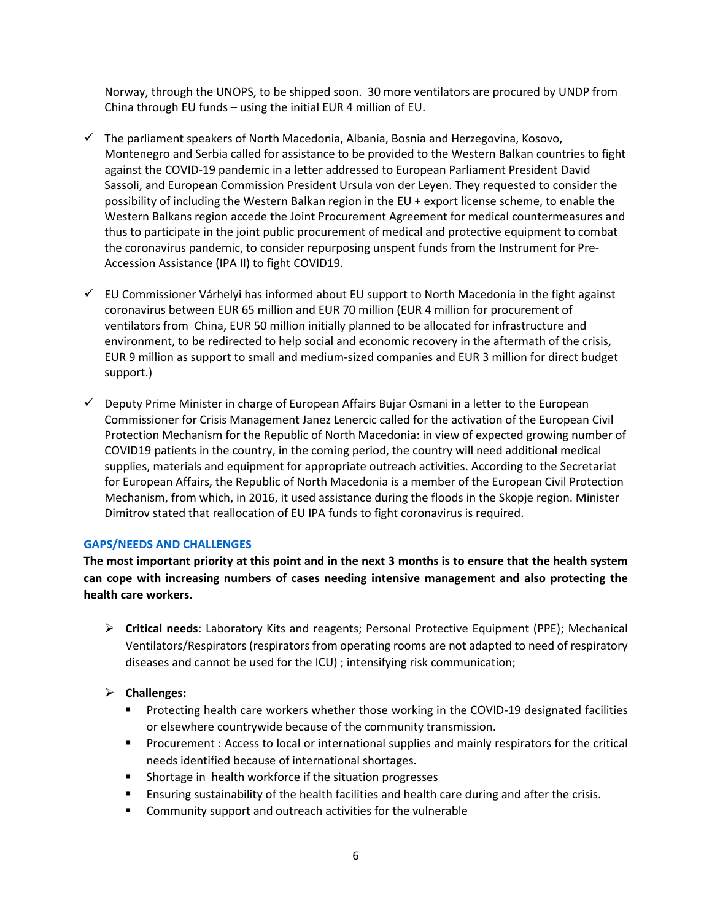Norway, through the UNOPS, to be shipped soon. 30 more ventilators are procured by UNDP from China through EU funds – using the initial EUR 4 million of EU.

- $\checkmark$  The parliament speakers of North Macedonia, Albania, Bosnia and Herzegovina, Kosovo, Montenegro and Serbia called for assistance to be provided to the Western Balkan countries to fight against the COVID-19 pandemic in a letter addressed to European Parliament President David Sassoli, and European Commission President Ursula von der Leyen. They requested to consider the possibility of including the Western Balkan region in the EU + export license scheme, to enable the Western Balkans region accede the Joint Procurement Agreement for medical countermeasures and thus to participate in the joint public procurement of medical and protective equipment to combat the coronavirus pandemic, to consider repurposing unspent funds from the Instrument for Pre-Accession Assistance (IPA II) to fight COVID19.
- $\checkmark$  EU Commissioner Várhelyi has informed about EU support to North Macedonia in the fight against coronavirus between EUR 65 million and EUR 70 million (EUR 4 million for procurement of ventilators from China, EUR 50 million initially planned to be allocated for infrastructure and environment, to be redirected to help social and economic recovery in the aftermath of the crisis, EUR 9 million as support to small and medium-sized companies and EUR 3 million for direct budget support.)
- $\checkmark$  Deputy Prime Minister in charge of European Affairs Bujar Osmani in a letter to the European Commissioner for Crisis Management Janez Lenercic called for the activation of the European Civil Protection Mechanism for the Republic of North Macedonia: in view of expected growing number of COVID19 patients in the country, in the coming period, the country will need additional medical supplies, materials and equipment for appropriate outreach activities. According to the Secretariat for European Affairs, the Republic of North Macedonia is a member of the European Civil Protection Mechanism, from which, in 2016, it used assistance during the floods in the Skopje region. Minister Dimitrov stated that reallocation of EU IPA funds to fight coronavirus is required.

# **GAPS/NEEDS AND CHALLENGES**

**The most important priority at this point and in the next 3 months is to ensure that the health system can cope with increasing numbers of cases needing intensive management and also protecting the health care workers.**

 **Critical needs**: Laboratory Kits and reagents; Personal Protective Equipment (PPE); Mechanical Ventilators/Respirators (respirators from operating rooms are not adapted to need of respiratory diseases and cannot be used for the ICU) ; intensifying risk communication;

# **Challenges:**

- **Protecting health care workers whether those working in the COVID-19 designated facilities** or elsewhere countrywide because of the community transmission.
- Procurement : Access to local or international supplies and mainly respirators for the critical needs identified because of international shortages.
- **Shortage in health workforce if the situation progresses**
- Ensuring sustainability of the health facilities and health care during and after the crisis.
- **EXP** Community support and outreach activities for the vulnerable